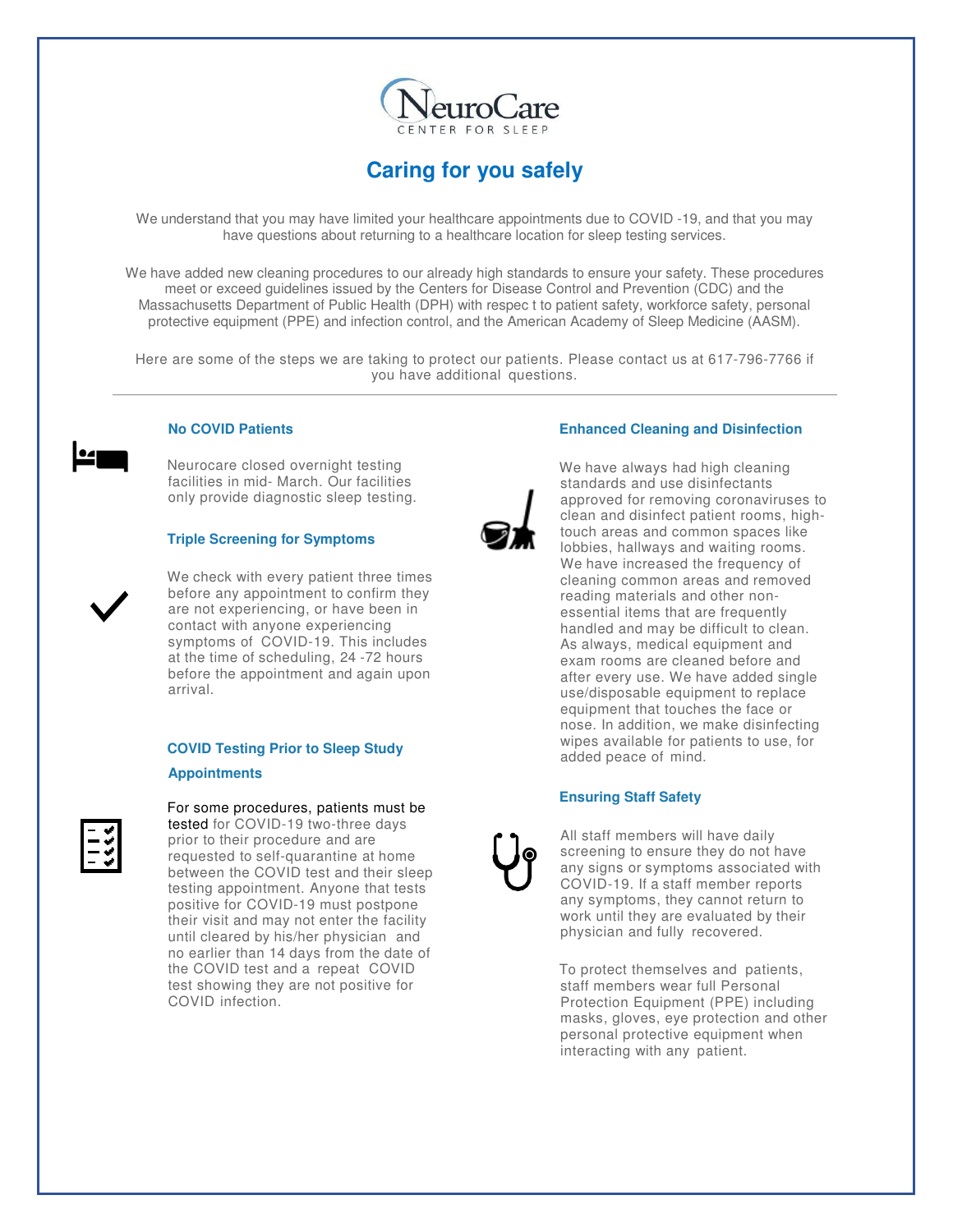

# **Caring for you safely**

We understand that you may have limited your healthcare appointments due to COVID -19, and that you may have questions about returning to a healthcare location for sleep testing services.

We have added new cleaning procedures to our already high standards to ensure your safety. These procedures meet or exceed guidelines issued by the Centers for Disease Control and Prevention (CDC) and the Massachusetts Department of Public Health (DPH) with respec t to patient safety, workforce safety, personal protective equipment (PPE) and infection control, and the American Academy of Sleep Medicine (AASM).

Here are some of the steps we are taking to protect our patients. Please contact us at 617-796-7766 if you have additional questions.



 Neurocare closed overnight testing facilities in mid- March. Our facilities only provide diagnostic sleep testing.

# **Triple Screening for Symptoms**

We check with every patient three times before any appointment to confirm they are not experiencing, or have been in contact with anyone experiencing symptoms of COVID-19. This includes at the time of scheduling, 24 -72 hours before the appointment and again upon arrival.

# **COVID Testing Prior to Sleep Study Appointments**



For some procedures, patients must be tested for COVID-19 two-three days prior to their procedure and are requested to self-quarantine at home between the COVID test and their sleep testing appointment. Anyone that tests positive for COVID-19 must postpone their visit and may not enter the facility until cleared by his/her physician and no earlier than 14 days from the date of the COVID test and a repeat COVID test showing they are not positive for COVID infection.

# **Enhanced Cleaning and Disinfection**

We have always had high cleaning standards and use disinfectants approved for removing coronaviruses to clean and disinfect patient rooms, hightouch areas and common spaces like lobbies, hallways and waiting rooms. We have increased the frequency of cleaning common areas and removed reading materials and other nonessential items that are frequently handled and may be difficult to clean. As always, medical equipment and exam rooms are cleaned before and after every use. We have added single use/disposable equipment to replace equipment that touches the face or nose. In addition, we make disinfecting wipes available for patients to use, for added peace of mind.

# **Ensuring Staff Safety**

All staff members will have daily screening to ensure they do not have any signs or symptoms associated with COVID-19. If a staff member reports any symptoms, they cannot return to work until they are evaluated by their physician and fully recovered.

To protect themselves and patients, staff members wear full Personal Protection Equipment (PPE) including masks, gloves, eye protection and other personal protective equipment when interacting with any patient.